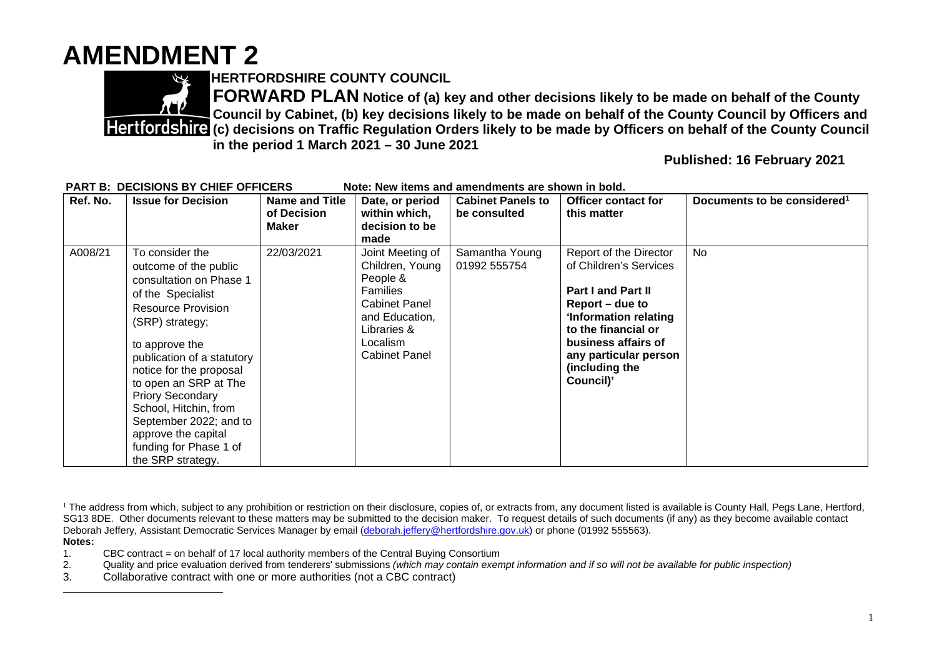## **AMENDMENT 2**



**HERTFORDSHIRE COUNTY COUNCIL** 

**FORWARD PLAN Notice of (a) key and other decisions likely to be made on behalf of the County Council by Cabinet, (b) key decisions likely to be made on behalf of the County Council by Officers and Flertfordshire (c) decisions on Traffic Regulation Orders likely to be made by Officers on behalf of the County Council in the period 1 March 2021 – 30 June 2021** 

**Published: 16 February 2021** 

| Ref. No. | <b>Issue for Decision</b>                                                                                                                                                                                                                                                                                                                                                                        | Name and Title<br>of Decision<br><b>Maker</b> | Date, or period<br>within which,<br>decision to be<br>made                                                                                                      | <b>Cabinet Panels to</b><br>be consulted | Officer contact for<br>this matter                                                                                                                                                                                              | Documents to be considered <sup>1</sup> |
|----------|--------------------------------------------------------------------------------------------------------------------------------------------------------------------------------------------------------------------------------------------------------------------------------------------------------------------------------------------------------------------------------------------------|-----------------------------------------------|-----------------------------------------------------------------------------------------------------------------------------------------------------------------|------------------------------------------|---------------------------------------------------------------------------------------------------------------------------------------------------------------------------------------------------------------------------------|-----------------------------------------|
| A008/21  | To consider the<br>outcome of the public<br>consultation on Phase 1<br>of the Specialist<br><b>Resource Provision</b><br>(SRP) strategy;<br>to approve the<br>publication of a statutory<br>notice for the proposal<br>to open an SRP at The<br><b>Priory Secondary</b><br>School, Hitchin, from<br>September 2022; and to<br>approve the capital<br>funding for Phase 1 of<br>the SRP strategy. | 22/03/2021                                    | Joint Meeting of<br>Children, Young<br>People &<br><b>Families</b><br><b>Cabinet Panel</b><br>and Education,<br>Libraries &<br>Localism<br><b>Cabinet Panel</b> | Samantha Young<br>01992 555754           | Report of the Director<br>of Children's Services<br><b>Part I and Part II</b><br>Report – due to<br>'Information relating<br>to the financial or<br>business affairs of<br>any particular person<br>(including the<br>Council)' | No.                                     |

**PART B: DECISIONS BY CHIEF OFFICERS** Note: New items and amendments are shown in bold.

- **Notes:**
- 1. CBC contract = on behalf of 17 local authority members of the Central Buying Consortium
- 2. Quality and price evaluation derived from tenderers' submissions *(which may contain exempt information and if so will not be available for public inspection)*
- 3. Collaborative contract with one or more authorities (not a CBC contract)

<sup>&</sup>lt;sup>1</sup> The address from which, subject to any prohibition or restriction on their disclosure, copies of, or extracts from, any document listed is available is County Hall, Pegs Lane, Hertford, SG13 8DE. Other documents relevant to these matters may be submitted to the decision maker. To request details of such documents (if any) as they become available contact Deborah Jeffery, Assistant Democratic Services Manager by email (deborah.jeffery@hertfordshire.gov.uk) or phone (01992 555563).